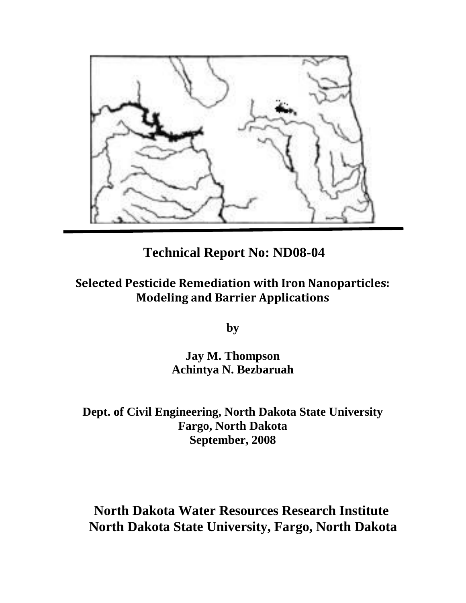

# **Technical Report No: ND08-04**

# **Selected Pesticide Remediation with Iron Nanoparticles: Modeling and Barrier Applications**

**by** 

**Jay M. Thompson Achintya N. Bezbaruah** 

**Dept. of Civil Engineering, North Dakota State University Fargo, North Dakota September, 2008** 

# **North Dakota Water Resources Research Institute North Dakota State University, Fargo, North Dakota**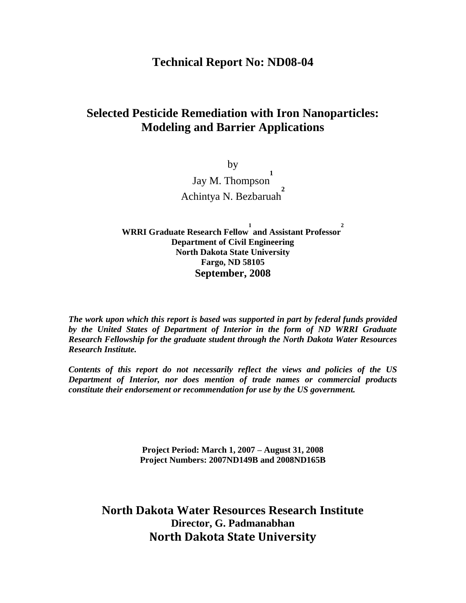# **Technical Report No: ND08-04**

# **Selected Pesticide Remediation with Iron Nanoparticles: Modeling and Barrier Applications**

by Jay M. Thompson **1** Achintya N. Bezbaruah **2**

**WRRI Graduate Research Fellow 1 and Assistant Professor 2 Department of Civil Engineering North Dakota State University Fargo, ND 58105 September, 2008** 

*The work upon which this report is based was supported in part by federal funds provided by the United States of Department of Interior in the form of ND WRRI Graduate Research Fellowship for the graduate student through the North Dakota Water Resources Research Institute.* 

*Contents of this report do not necessarily reflect the views and policies of the US Department of Interior, nor does mention of trade names or commercial products constitute their endorsement or recommendation for use by the US government.* 

> **Project Period: March 1, 2007 – August 31, 2008 Project Numbers: 2007ND149B and 2008ND165B**

**North Dakota Water Resources Research Institute Director, G. Padmanabhan North Dakota State University**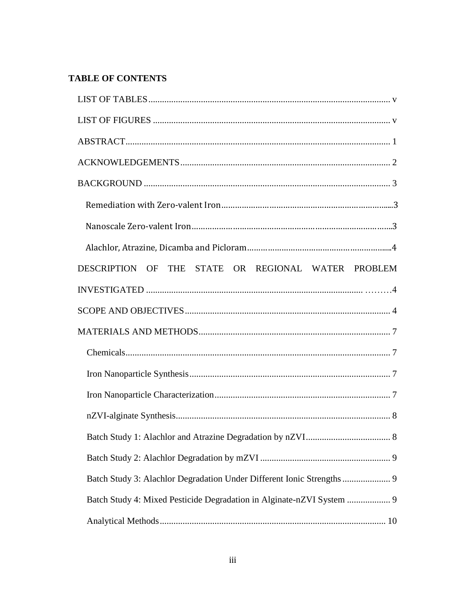# **TABLE OF CONTENTS**

| DESCRIPTION OF THE STATE OR REGIONAL WATER PROBLEM |
|----------------------------------------------------|
|                                                    |
|                                                    |
|                                                    |
|                                                    |
|                                                    |
|                                                    |
|                                                    |
|                                                    |
|                                                    |
|                                                    |
|                                                    |
|                                                    |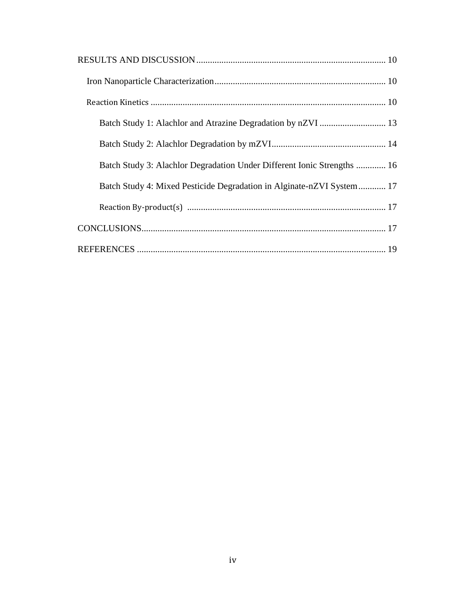| Batch Study 3: Alachlor Degradation Under Different Ionic Strengths  16 |  |
|-------------------------------------------------------------------------|--|
| Batch Study 4: Mixed Pesticide Degradation in Alginate-nZVI System 17   |  |
|                                                                         |  |
|                                                                         |  |
|                                                                         |  |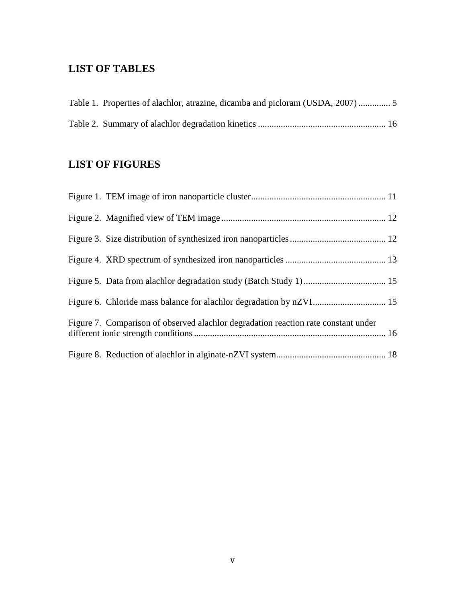# **LIST OF TABLES**

| Table 1. Properties of alachlor, atrazine, dicamba and picloram (USDA, 2007) |  |
|------------------------------------------------------------------------------|--|
|                                                                              |  |

# **LIST OF FIGURES**

| Figure 7. Comparison of observed alachlor degradation reaction rate constant under |  |
|------------------------------------------------------------------------------------|--|
|                                                                                    |  |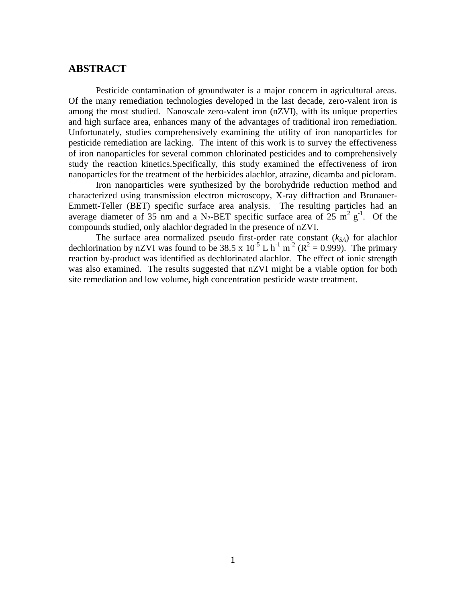# **ABSTRACT**

Pesticide contamination of groundwater is a major concern in agricultural areas. Of the many remediation technologies developed in the last decade, zero-valent iron is among the most studied. Nanoscale zero-valent iron (nZVI), with its unique properties and high surface area, enhances many of the advantages of traditional iron remediation. Unfortunately, studies comprehensively examining the utility of iron nanoparticles for pesticide remediation are lacking. The intent of this work is to survey the effectiveness of iron nanoparticles for several common chlorinated pesticides and to comprehensively study the reaction kinetics.Specifically, this study examined the effectiveness of iron nanoparticles for the treatment of the herbicides alachlor, atrazine, dicamba and picloram.

Iron nanoparticles were synthesized by the borohydride reduction method and characterized using transmission electron microscopy, X-ray diffraction and Brunauer-Emmett-Teller (BET) specific surface area analysis. The resulting particles had an average diameter of 35 nm and a N<sub>2</sub>-BET specific surface area of  $25 \text{ m}^2 \text{ g}^{-1}$ . Of the compounds studied, only alachlor degraded in the presence of nZVI.

The surface area normalized pseudo first-order rate constant (*kSA*) for alachlor dechlorination by nZVI was found to be 38.5 x  $10^{-5}$  L h<sup>-1</sup> m<sup>-2</sup> (R<sup>2</sup> = 0.999). The primary reaction by-product was identified as dechlorinated alachlor. The effect of ionic strength was also examined. The results suggested that nZVI might be a viable option for both site remediation and low volume, high concentration pesticide waste treatment.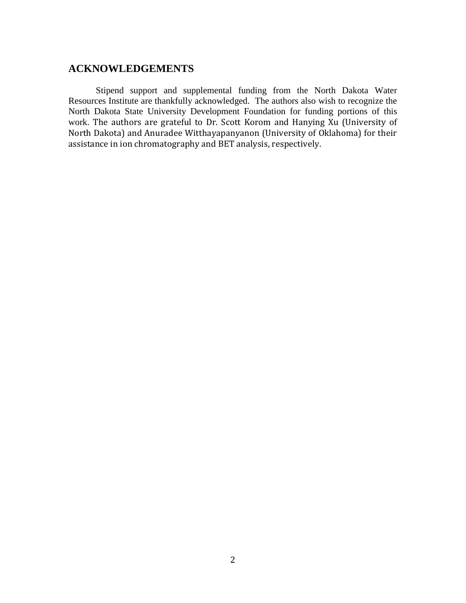# **ACKNOWLEDGEMENTS**

Stipend support and supplemental funding from the North Dakota Water Resources Institute are thankfully acknowledged. The authors also wish to recognize the North Dakota State University Development Foundation for funding portions of this work. The authors are grateful to Dr. Scott Korom and Hanying Xu (University of North Dakota) and Anuradee Witthayapanyanon (University of Oklahoma) for their assistance in ion chromatography and BET analysis, respectively.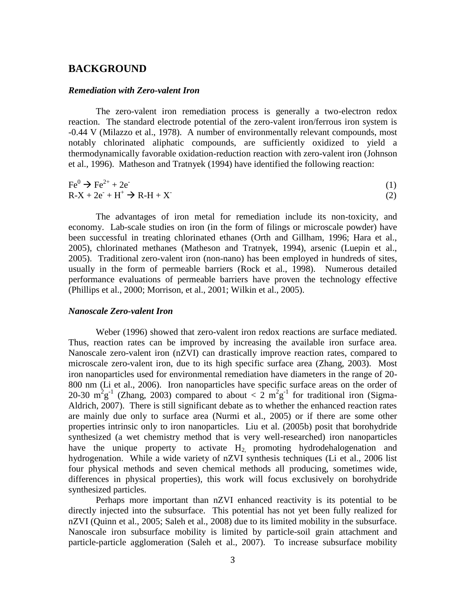# **BACKGROUND**

### *Remediation with Zero-valent Iron*

The zero-valent iron remediation process is generally a two-electron redox reaction. The standard electrode potential of the zero-valent iron/ferrous iron system is -0.44 V (Milazzo et al., 1978). A number of environmentally relevant compounds, most notably chlorinated aliphatic compounds, are sufficiently oxidized to yield a thermodynamically favorable oxidation-reduction reaction with zero-valent iron (Johnson et al., 1996). Matheson and Tratnyek (1994) have identified the following reaction:

$$
\text{Fe}^0 \rightarrow \text{Fe}^{2+} + 2\text{e}^{\cdot} \text{R-X} + 2\text{e}^{\cdot} + \text{H}^+ \rightarrow \text{R-H} + \text{X}
$$
\n(1)

The advantages of iron metal for remediation include its non-toxicity, and economy. Lab-scale studies on iron (in the form of filings or microscale powder) have been successful in treating chlorinated ethanes (Orth and Gillham, 1996; Hara et al., 2005), chlorinated methanes (Matheson and Tratnyek, 1994), arsenic (Luepin et al., 2005). Traditional zero-valent iron (non-nano) has been employed in hundreds of sites, usually in the form of permeable barriers (Rock et al., 1998). Numerous detailed performance evaluations of permeable barriers have proven the technology effective (Phillips et al., 2000; Morrison, et al., 2001; Wilkin et al., 2005).

# *Nanoscale Zero-valent Iron*

Weber (1996) showed that zero-valent iron redox reactions are surface mediated. Thus, reaction rates can be improved by increasing the available iron surface area. Nanoscale zero-valent iron (nZVI) can drastically improve reaction rates, compared to microscale zero-valent iron, due to its high specific surface area (Zhang, 2003). Most iron nanoparticles used for environmental remediation have diameters in the range of 20- 800 nm (Li et al., 2006). Iron nanoparticles have specific surface areas on the order of 20-30  $m^2g^{-1}$  (Zhang, 2003) compared to about  $\langle$  2  $m^2g^{-1}$  for traditional iron (Sigma-Aldrich, 2007). There is still significant debate as to whether the enhanced reaction rates are mainly due only to surface area (Nurmi et al., 2005) or if there are some other properties intrinsic only to iron nanoparticles. Liu et al. (2005b) posit that borohydride synthesized (a wet chemistry method that is very well-researched) iron nanoparticles have the unique property to activate  $H_2$  promoting hydrodehalogenation and hydrogenation. While a wide variety of nZVI synthesis techniques (Li et al., 2006 list four physical methods and seven chemical methods all producing, sometimes wide, differences in physical properties), this work will focus exclusively on borohydride synthesized particles.

Perhaps more important than nZVI enhanced reactivity is its potential to be directly injected into the subsurface. This potential has not yet been fully realized for nZVI (Quinn et al., 2005; Saleh et al., 2008) due to its limited mobility in the subsurface. Nanoscale iron subsurface mobility is limited by particle-soil grain attachment and particle-particle agglomeration (Saleh et al., 2007). To increase subsurface mobility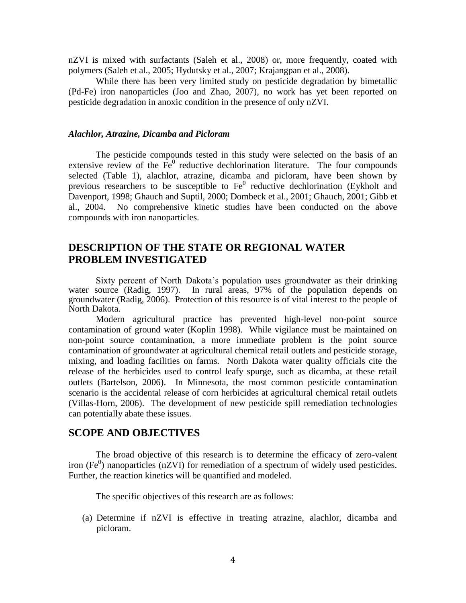nZVI is mixed with surfactants (Saleh et al., 2008) or, more frequently, coated with polymers (Saleh et al., 2005; Hydutsky et al., 2007; Krajangpan et al., 2008).

While there has been very limited study on pesticide degradation by bimetallic (Pd-Fe) iron nanoparticles (Joo and Zhao, 2007), no work has yet been reported on pesticide degradation in anoxic condition in the presence of only nZVI.

## *Alachlor, Atrazine, Dicamba and Picloram*

The pesticide compounds tested in this study were selected on the basis of an extensive review of the  $Fe<sup>0</sup>$  reductive dechlorination literature. The four compounds selected (Table 1), alachlor, atrazine, dicamba and picloram, have been shown by previous researchers to be susceptible to  $Fe<sup>0</sup>$  reductive dechlorination (Eykholt and Davenport, 1998; Ghauch and Suptil, 2000; Dombeck et al., 2001; Ghauch, 2001; Gibb et al., 2004. No comprehensive kinetic studies have been conducted on the above compounds with iron nanoparticles.

# **DESCRIPTION OF THE STATE OR REGIONAL WATER PROBLEM INVESTIGATED**

Sixty percent of North Dakota's population uses groundwater as their drinking water source (Radig, 1997). In rural areas, 97% of the population depends on groundwater (Radig, 2006). Protection of this resource is of vital interest to the people of North Dakota.

Modern agricultural practice has prevented high-level non-point source contamination of ground water (Koplin 1998). While vigilance must be maintained on non-point source contamination, a more immediate problem is the point source contamination of groundwater at agricultural chemical retail outlets and pesticide storage, mixing, and loading facilities on farms. North Dakota water quality officials cite the release of the herbicides used to control leafy spurge, such as dicamba, at these retail outlets (Bartelson, 2006). In Minnesota, the most common pesticide contamination scenario is the accidental release of corn herbicides at agricultural chemical retail outlets (Villas-Horn, 2006). The development of new pesticide spill remediation technologies can potentially abate these issues.

# **SCOPE AND OBJECTIVES**

The broad objective of this research is to determine the efficacy of zero-valent iron (Fe<sup>0</sup>) nanoparticles (nZVI) for remediation of a spectrum of widely used pesticides. Further, the reaction kinetics will be quantified and modeled.

The specific objectives of this research are as follows:

(a) Determine if nZVI is effective in treating atrazine, alachlor, dicamba and picloram.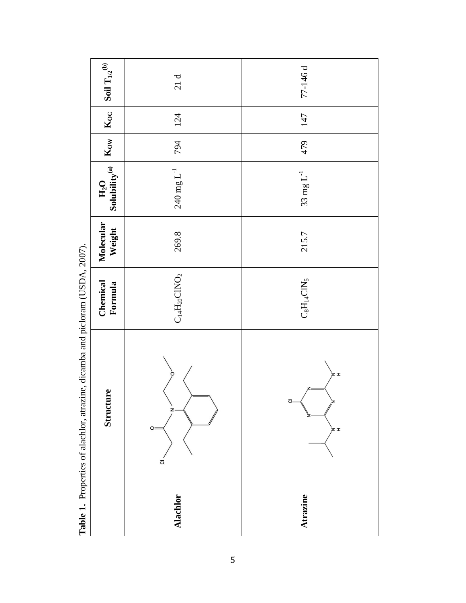| Soil $\mathrm{T}_{1/2}{}^{(\mathrm{b})}$                                                      | 21d                           | 77-146 d                                     |  |  |
|-----------------------------------------------------------------------------------------------|-------------------------------|----------------------------------------------|--|--|
| $K_{OC}$                                                                                      | 124                           | 147<br>479                                   |  |  |
| $K_{\rm OV}$                                                                                  | 794                           |                                              |  |  |
| Solubility $^{(a)}$<br>$H_2O$                                                                 | $240$ mg $\mathrm{L}^{-1}$    | $33\ \mathrm{mg}\, \mathrm{L}^{-1}$          |  |  |
| Molecular<br>Weight                                                                           | 269.8                         | 215.7                                        |  |  |
| Chemical<br>Formula                                                                           | $\mathrm{C_{14}H_{20}CNO_2}$  | $\mathrm{C_8H_14CN_5}$                       |  |  |
| <b>Table 1.</b> Liopernes of alactine, and all predictional (Control, 2007).<br>re<br>Structu | z<br>O:<br>$\overline{\circ}$ | `z r<br>z<br><u>ਹ</u> .<br>ž,<br>ٌ≥َ<br>`≠ ≖ |  |  |
|                                                                                               | <b>Alachlor</b>               | Atrazine                                     |  |  |

**Table 1.** Properties of alachlor, atrazine, dicamba and picloram (USDA, 2007). **Table 1.** Properties of alachlor, atrazine, dicamba and picloram (USDA, 2007).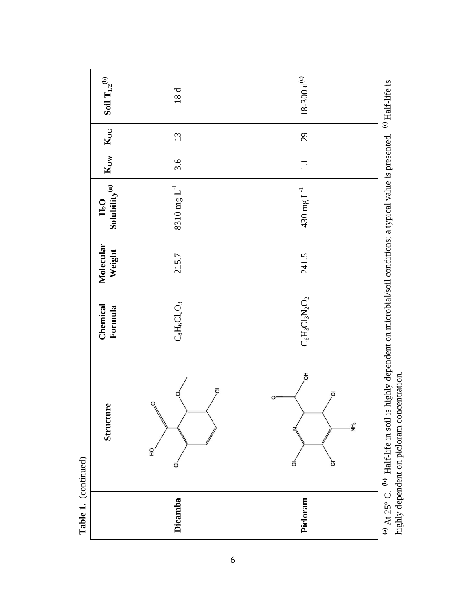| ٢<br>٦<br>ί |
|-------------|
|             |
|             |
| d           |

| Dicamba                                                                                                    | $\overline{a}$<br>Structure<br>F.<br>ō                                          | $\mathrm{C}_8\mathrm{H}_6\mathrm{C} \mathrm{I}_2\mathrm{O}_3$<br>Chemical<br>Formula | Molecular<br>Weight<br>215.7 | Solubility $^{(a)}$<br>$8310\ \mathrm{mg}\ L^{-1}$<br>H <sub>2</sub> O | $K_{\rm OV}$<br>3.6 | $\mathbf{K}_{\mathbf{OC}}$<br>13 | Soil $\mathrm{T}_{1/2}{}^{(\mathrm{b})}$<br>18d |
|------------------------------------------------------------------------------------------------------------|---------------------------------------------------------------------------------|--------------------------------------------------------------------------------------|------------------------------|------------------------------------------------------------------------|---------------------|----------------------------------|-------------------------------------------------|
| (b) $\rm H_3$ F1ife in coil is highly dependent on microhial/soil conditions: a typical value is presented | $\overline{5}$<br>$\overline{\circ}$<br>$\overline{\circ}$<br>O<br>Ξ,<br>ಠ<br>ت | $\mathrm{C}_6\mathrm{H}_3\mathrm{Cl}_3\mathrm{N}_2\mathrm{O}_2$                      | 241.5                        | $430$ mg $\mathrm{L}^{-1}$                                             | $\Box$              | 29                               | $18-300\,\rm{d}^{(c)}$                          |

**(a)** At 25° C. **(b)** Half-life in soil is highly dependent on microbial/soil conditions; a typical value is presented. **(c)** Half-life is Hall-life is <sup>(a)</sup> At 25° C. <sup>(b)</sup> Half-life in soil is highly dependent on microbial/soil conditions; a typical value is presented.<br>highly dependent on picloram concentration. highly dependent on picloram concentration.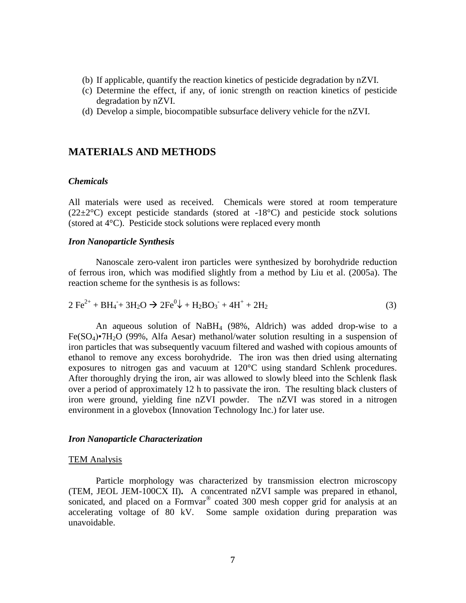- (b) If applicable, quantify the reaction kinetics of pesticide degradation by nZVI.
- (c) Determine the effect, if any, of ionic strength on reaction kinetics of pesticide degradation by nZVI.
- (d) Develop a simple, biocompatible subsurface delivery vehicle for the nZVI.

# **MATERIALS AND METHODS**

## *Chemicals*

All materials were used as received. Chemicals were stored at room temperature  $(22\pm2\degree C)$  except pesticide standards (stored at -18 $\degree C$ ) and pesticide stock solutions (stored at 4°C). Pesticide stock solutions were replaced every month

#### *Iron Nanoparticle Synthesis*

Nanoscale zero-valent iron particles were synthesized by borohydride reduction of ferrous iron, which was modified slightly from a method by Liu et al. (2005a). The reaction scheme for the synthesis is as follows:

$$
2\ \text{Fe}^{2+} + \text{BH}_4 + 3\text{H}_2\text{O} \rightarrow 2\text{Fe}^{0}\downarrow + \text{H}_2\text{BO}_3 + 4\text{H}^+ + 2\text{H}_2\tag{3}
$$

An aqueous solution of NaBH4 (98%, Aldrich) was added drop-wise to a  $Fe(SO<sub>4</sub>) \cdot 7H<sub>2</sub>O$  (99%, Alfa Aesar) methanol/water solution resulting in a suspension of iron particles that was subsequently vacuum filtered and washed with copious amounts of ethanol to remove any excess borohydride. The iron was then dried using alternating exposures to nitrogen gas and vacuum at 120°C using standard Schlenk procedures. After thoroughly drying the iron, air was allowed to slowly bleed into the Schlenk flask over a period of approximately 12 h to passivate the iron. The resulting black clusters of iron were ground, yielding fine nZVI powder. The nZVI was stored in a nitrogen environment in a glovebox (Innovation Technology Inc.) for later use.

# *Iron Nanoparticle Characterization*

#### TEM Analysis

Particle morphology was characterized by transmission electron microscopy (TEM, JEOL JEM-100CX II)**.** A concentrated nZVI sample was prepared in ethanol, sonicated, and placed on a Formvar<sup>®</sup> coated 300 mesh copper grid for analysis at an accelerating voltage of 80 kV. Some sample oxidation during preparation was unavoidable.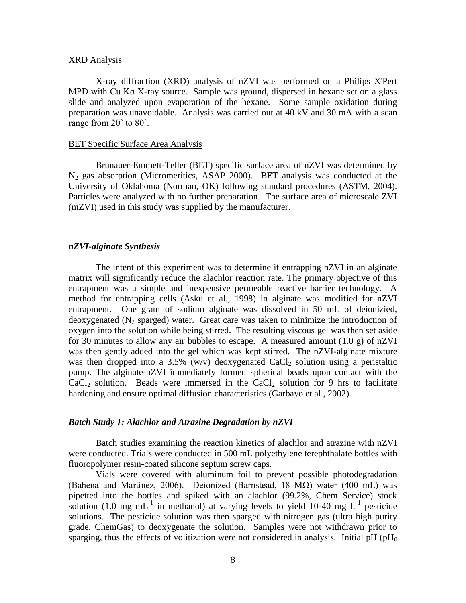#### XRD Analysis

X-ray diffraction (XRD) analysis of nZVI was performed on a Philips X'Pert MPD with Cu K $\alpha$  X-ray source. Sample was ground, dispersed in hexane set on a glass slide and analyzed upon evaporation of the hexane. Some sample oxidation during preparation was unavoidable. Analysis was carried out at 40 kV and 30 mA with a scan range from 20˚ to 80˚.

#### **BET Specific Surface Area Analysis**

Brunauer-Emmett-Teller (BET) specific surface area of nZVI was determined by  $N_2$  gas absorption (Micromeritics, ASAP 2000). BET analysis was conducted at the University of Oklahoma (Norman, OK) following standard procedures (ASTM, 2004). Particles were analyzed with no further preparation. The surface area of microscale ZVI (mZVI) used in this study was supplied by the manufacturer.

# *nZVI-alginate Synthesis*

The intent of this experiment was to determine if entrapping nZVI in an alginate matrix will significantly reduce the alachlor reaction rate. The primary objective of this entrapment was a simple and inexpensive permeable reactive barrier technology. A method for entrapping cells (Asku et al., 1998) in alginate was modified for nZVI entrapment. One gram of sodium alginate was dissolved in 50 mL of deionizied, deoxygenated ( $N_2$  sparged) water. Great care was taken to minimize the introduction of oxygen into the solution while being stirred. The resulting viscous gel was then set aside for 30 minutes to allow any air bubbles to escape. A measured amount  $(1.0 \text{ g})$  of nZVI was then gently added into the gel which was kept stirred. The nZVI-alginate mixture was then dropped into a 3.5% (w/v) deoxygenated CaCl<sub>2</sub> solution using a peristaltic pump. The alginate-nZVI immediately formed spherical beads upon contact with the  $CaCl<sub>2</sub>$  solution. Beads were immersed in the  $CaCl<sub>2</sub>$  solution for 9 hrs to facilitate hardening and ensure optimal diffusion characteristics (Garbayo et al., 2002).

# *Batch Study 1: Alachlor and Atrazine Degradation by nZVI*

Batch studies examining the reaction kinetics of alachlor and atrazine with nZVI were conducted. Trials were conducted in 500 mL polyethylene terephthalate bottles with fluoropolymer resin-coated silicone septum screw caps.

Vials were covered with aluminum foil to prevent possible photodegradation (Bahena and Martínez, 2006). Deionized (Barnstead, 18 M $\Omega$ ) water (400 mL) was pipetted into the bottles and spiked with an alachlor (99.2%, Chem Service) stock solution (1.0 mg mL<sup>-1</sup> in methanol) at varying levels to yield 10-40 mg L<sup>-1</sup> pesticide solutions. The pesticide solution was then sparged with nitrogen gas (ultra high purity grade, ChemGas) to deoxygenate the solution. Samples were not withdrawn prior to sparging, thus the effects of volitization were not considered in analysis. Initial pH ( $pH_0$ )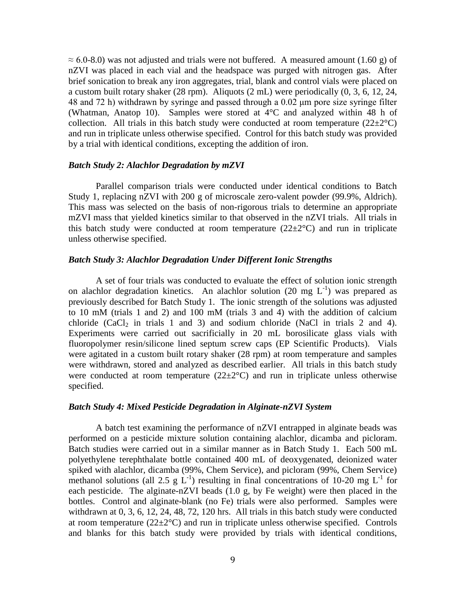$\approx$  6.0-8.0) was not adjusted and trials were not buffered. A measured amount (1.60 g) of nZVI was placed in each vial and the headspace was purged with nitrogen gas. After brief sonication to break any iron aggregates, trial, blank and control vials were placed on a custom built rotary shaker (28 rpm). Aliquots (2 mL) were periodically (0, 3, 6, 12, 24, 48 and 72 h) withdrawn by syringe and passed through a 0.02 μm pore size syringe filter (Whatman, Anatop 10). Samples were stored at 4°C and analyzed within 48 h of collection. All trials in this batch study were conducted at room temperature  $(22\pm2^{\circ}C)$ and run in triplicate unless otherwise specified. Control for this batch study was provided by a trial with identical conditions, excepting the addition of iron.

## *Batch Study 2: Alachlor Degradation by mZVI*

Parallel comparison trials were conducted under identical conditions to Batch Study 1, replacing nZVI with 200 g of microscale zero-valent powder (99.9%, Aldrich). This mass was selected on the basis of non-rigorous trials to determine an appropriate mZVI mass that yielded kinetics similar to that observed in the nZVI trials. All trials in this batch study were conducted at room temperature  $(22\pm 2^{\circ}C)$  and run in triplicate unless otherwise specified.

# *Batch Study 3: Alachlor Degradation Under Different Ionic Strengths*

A set of four trials was conducted to evaluate the effect of solution ionic strength on alachlor degradation kinetics. An alachlor solution (20 mg  $L^{-1}$ ) was prepared as previously described for Batch Study 1. The ionic strength of the solutions was adjusted to 10 mM (trials 1 and 2) and 100 mM (trials 3 and 4) with the addition of calcium chloride  $(CaCl<sub>2</sub>$  in trials 1 and 3) and sodium chloride (NaCl in trials 2 and 4). Experiments were carried out sacrificially in 20 mL borosilicate glass vials with fluoropolymer resin/silicone lined septum screw caps (EP Scientific Products). Vials were agitated in a custom built rotary shaker (28 rpm) at room temperature and samples were withdrawn, stored and analyzed as described earlier. All trials in this batch study were conducted at room temperature  $(22\pm2^{\circ}C)$  and run in triplicate unless otherwise specified.

## *Batch Study 4: Mixed Pesticide Degradation in Alginate-nZVI System*

 A batch test examining the performance of nZVI entrapped in alginate beads was performed on a pesticide mixture solution containing alachlor, dicamba and picloram. Batch studies were carried out in a similar manner as in Batch Study 1. Each 500 mL polyethylene terephthalate bottle contained 400 mL of deoxygenated, deionized water spiked with alachlor, dicamba (99%, Chem Service), and picloram (99%, Chem Service) methanol solutions (all 2.5 g L<sup>-1</sup>) resulting in final concentrations of 10-20 mg L<sup>-1</sup> for each pesticide. The alginate-nZVI beads (1.0 g, by Fe weight) were then placed in the bottles. Control and alginate-blank (no Fe) trials were also performed. Samples were withdrawn at 0, 3, 6, 12, 24, 48, 72, 120 hrs. All trials in this batch study were conducted at room temperature  $(22\pm2\degree C)$  and run in triplicate unless otherwise specified. Controls and blanks for this batch study were provided by trials with identical conditions,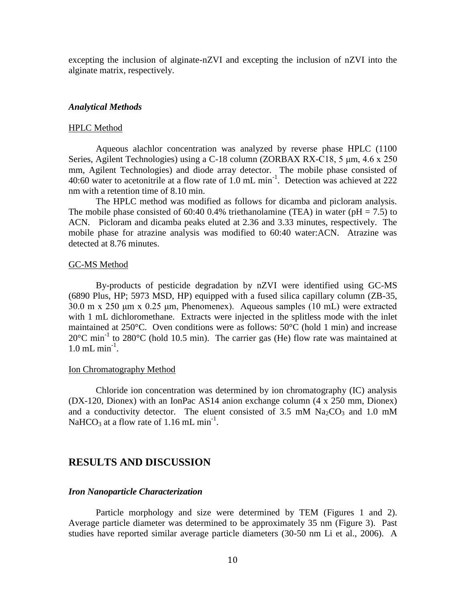excepting the inclusion of alginate-nZVI and excepting the inclusion of nZVI into the alginate matrix, respectively.

#### *Analytical Methods*

### HPLC Method

Aqueous alachlor concentration was analyzed by reverse phase HPLC (1100 Series, Agilent Technologies) using a C-18 column (ZORBAX RX-C18, 5 μm, 4.6 x 250 mm, Agilent Technologies) and diode array detector. The mobile phase consisted of 40:60 water to acetonitrile at a flow rate of 1.0 mL min<sup>-1</sup>. Detection was achieved at 222 nm with a retention time of 8.10 min.

The HPLC method was modified as follows for dicamba and picloram analysis. The mobile phase consisted of 60:40 0.4% triethanolamine (TEA) in water ( $pH = 7.5$ ) to ACN. Picloram and dicamba peaks eluted at 2.36 and 3.33 minutes, respectively. The mobile phase for atrazine analysis was modified to 60:40 water:ACN. Atrazine was detected at 8.76 minutes.

## GC-MS Method

By-products of pesticide degradation by nZVI were identified using GC-MS (6890 Plus, HP; 5973 MSD, HP) equipped with a fused silica capillary column (ZB-35, 30.0 m x 250 μm x 0.25 μm, Phenomenex). Aqueous samples (10 mL) were extracted with 1 mL dichloromethane. Extracts were injected in the splitless mode with the inlet maintained at 250°C. Oven conditions were as follows: 50°C (hold 1 min) and increase  $20^{\circ}$ C min<sup>-1</sup> to  $280^{\circ}$ C (hold 10.5 min). The carrier gas (He) flow rate was maintained at  $1.0 \text{ mL min}^{-1}$ .

#### Ion Chromatography Method

Chloride ion concentration was determined by ion chromatography (IC) analysis (DX-120, Dionex) with an IonPac AS14 anion exchange column (4 x 250 mm, Dionex) and a conductivity detector. The eluent consisted of 3.5 mM  $Na<sub>2</sub>CO<sub>3</sub>$  and 1.0 mM NaHCO<sub>3</sub> at a flow rate of 1.16 mL min<sup>-1</sup>.

# **RESULTS AND DISCUSSION**

# *Iron Nanoparticle Characterization*

Particle morphology and size were determined by TEM (Figures 1 and 2). Average particle diameter was determined to be approximately 35 nm (Figure 3). Past studies have reported similar average particle diameters (30-50 nm Li et al., 2006). A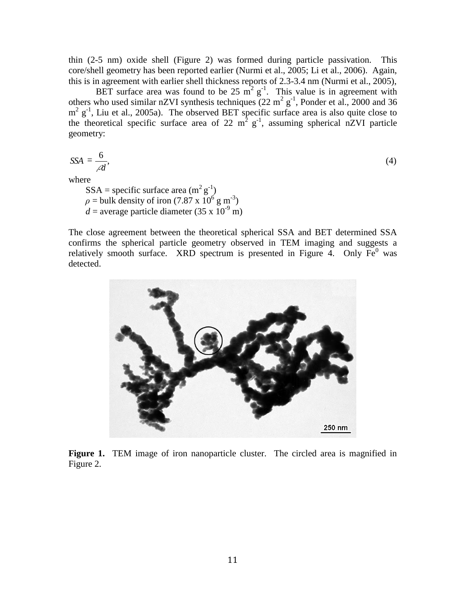thin (2-5 nm) oxide shell (Figure 2) was formed during particle passivation. This core/shell geometry has been reported earlier (Nurmi et al., 2005; Li et al., 2006). Again, this is in agreement with earlier shell thickness reports of 2.3-3.4 nm (Nurmi et al., 2005),

BET surface area was found to be 25  $m^2 g^{-1}$ . This value is in agreement with others who used similar nZVI synthesis techniques  $(22 \text{ m}^2 \text{ g}^{-1})$ , Ponder et al., 2000 and 36  $m^2$  g<sup>-1</sup>, Liu et al., 2005a). The observed BET specific surface area is also quite close to the theoretical specific surface area of 22  $m^2 g^{-1}$ , assuming spherical nZVI particle geometry:

*d*  $SSA = \frac{6}{6}$ 

 $\hspace{1.6cm}$ , (4)

where

 $SSA =$  specific surface area  $(m^2 g^{-1})$  $\rho$  = bulk density of iron (7.87 x 10<sup>6</sup> g m<sup>-3</sup>)  $d =$  average particle diameter (35 x  $10^{-9}$  m)

The close agreement between the theoretical spherical SSA and BET determined SSA confirms the spherical particle geometry observed in TEM imaging and suggests a relatively smooth surface. XRD spectrum is presented in Figure 4. Only  $Fe<sup>0</sup>$  was detected.



**Figure 1.** TEM image of iron nanoparticle cluster. The circled area is magnified in Figure 2.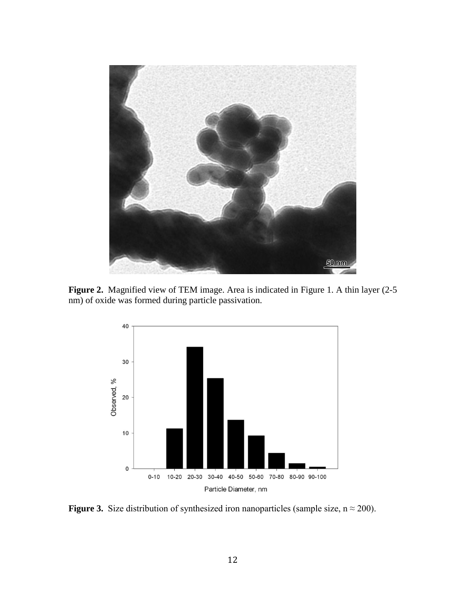

Figure 2. Magnified view of TEM image. Area is indicated in Figure 1. A thin layer (2-5 nm) of oxide was formed during particle passivation.



**Figure 3.** Size distribution of synthesized iron nanoparticles (sample size,  $n \approx 200$ ).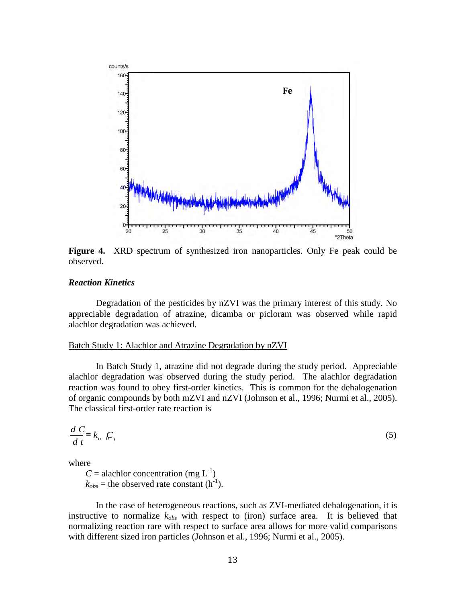

**Figure 4.** XRD spectrum of synthesized iron nanoparticles. Only Fe peak could be observed.

# *Reaction Kinetics*

Degradation of the pesticides by nZVI was the primary interest of this study. No appreciable degradation of atrazine, dicamba or picloram was observed while rapid alachlor degradation was achieved.

### Batch Study 1: Alachlor and Atrazine Degradation by nZVI

In Batch Study 1, atrazine did not degrade during the study period. Appreciable alachlor degradation was observed during the study period. The alachlor degradation reaction was found to obey first-order kinetics. This is common for the dehalogenation of organic compounds by both mZVI and nZVI (Johnson et al., 1996; Nurmi et al., 2005). The classical first-order rate reaction is

$$
\frac{d}{dt}E = k_o \mathcal{L},\tag{5}
$$

where

 $C =$  alachlor concentration (mg  $L^{-1}$ )  $k_{obs}$  = the observed rate constant (h<sup>-1</sup>).

In the case of heterogeneous reactions, such as ZVI-mediated dehalogenation, it is instructive to normalize  $k_{obs}$  with respect to (iron) surface area. It is believed that normalizing reaction rare with respect to surface area allows for more valid comparisons with different sized iron particles (Johnson et al., 1996; Nurmi et al., 2005).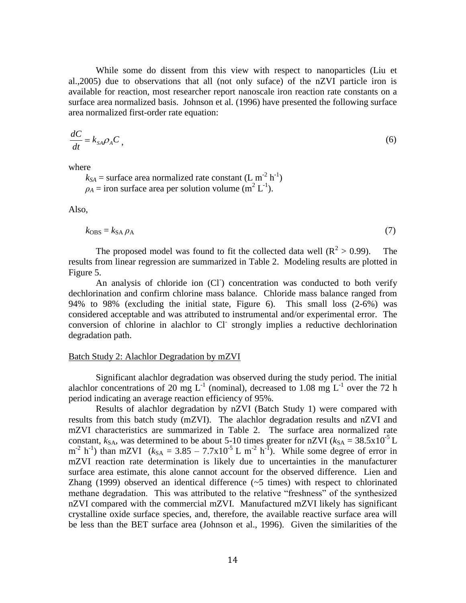While some do dissent from this view with respect to nanoparticles (Liu et al.,2005) due to observations that all (not only suface) of the nZVI particle iron is available for reaction, most researcher report nanoscale iron reaction rate constants on a surface area normalized basis. Johnson et al. (1996) have presented the following surface area normalized first-order rate equation:

$$
\frac{dC}{dt} = k_{SA} \rho_A C \tag{6}
$$

where

 $k_{SA}$  = surface area normalized rate constant (L m<sup>-2</sup> h<sup>-1</sup>)  $\rho_A$  = iron surface area per solution volume (m<sup>2</sup> L<sup>-1</sup>).

Also,

$$
k_{\text{OBS}} = k_{\text{SA}} \rho_{\text{A}}
$$
 (7)

The proposed model was found to fit the collected data well  $(R^2 > 0.99)$ . The results from linear regression are summarized in Table 2. Modeling results are plotted in Figure 5.

An analysis of chloride ion (CI) concentration was conducted to both verify dechlorination and confirm chlorine mass balance. Chloride mass balance ranged from 94% to 98% (excluding the initial state, Figure 6). This small loss (2-6%) was considered acceptable and was attributed to instrumental and/or experimental error.The conversion of chlorine in alachlor to Cl- strongly implies a reductive dechlorination degradation path.

# Batch Study 2: Alachlor Degradation by mZVI

Significant alachlor degradation was observed during the study period. The initial alachlor concentrations of 20 mg  $L^{-1}$  (nominal), decreased to 1.08 mg  $L^{-1}$  over the 72 h period indicating an average reaction efficiency of 95%.

Results of alachlor degradation by nZVI (Batch Study 1) were compared with results from this batch study (mZVI). The alachlor degradation results and nZVI and mZVI characteristics are summarized in Table 2. The surface area normalized rate constant,  $k_{SA}$ , was determined to be about 5-10 times greater for nZVI ( $k_{SA} = 38.5 \times 10^{-5}$  L  $m^{-2}$  h<sup>-1</sup>) than mZVI ( $k_{SA} = 3.85 - 7.7 \times 10^{-5}$  L m<sup>-2</sup> h<sup>-T</sup>). While some degree of error in mZVI reaction rate determination is likely due to uncertainties in the manufacturer surface area estimate, this alone cannot account for the observed difference. Lien and Zhang (1999) observed an identical difference (~5 times) with respect to chlorinated methane degradation. This was attributed to the relative "freshness" of the synthesized nZVI compared with the commercial mZVI. Manufactured mZVI likely has significant crystalline oxide surface species, and, therefore, the available reactive surface area will be less than the BET surface area (Johnson et al., 1996). Given the similarities of the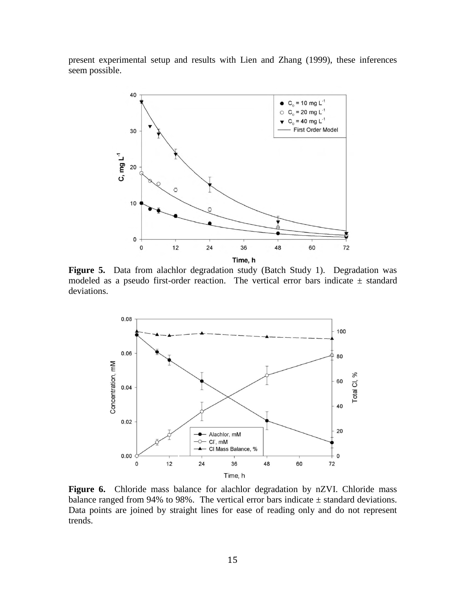present experimental setup and results with Lien and Zhang (1999), these inferences seem possible.



**Figure 5.** Data from alachlor degradation study (Batch Study 1). Degradation was modeled as a pseudo first-order reaction. The vertical error bars indicate  $\pm$  standard deviations.



Figure 6. Chloride mass balance for alachlor degradation by nZVI. Chloride mass balance ranged from 94% to 98%. The vertical error bars indicate  $\pm$  standard deviations. Data points are joined by straight lines for ease of reading only and do not represent trends.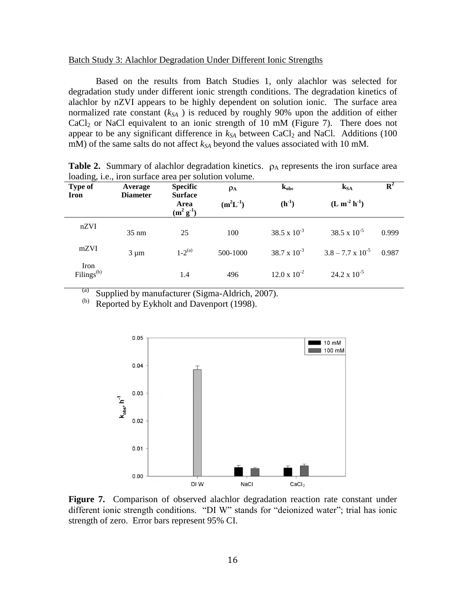### Batch Study 3: Alachlor Degradation Under Different Ionic Strengths

Based on the results from Batch Studies 1, only alachlor was selected for degradation study under different ionic strength conditions. The degradation kinetics of alachlor by nZVI appears to be highly dependent on solution ionic. The surface area normalized rate constant (*kSA* ) is reduced by roughly 90% upon the addition of either  $CaCl<sub>2</sub>$  or NaCl equivalent to an ionic strength of 10 mM (Figure 7). There does not appear to be any significant difference in  $k_{SA}$  between CaCl<sub>2</sub> and NaCl. Additions (100 mM) of the same salts do not affect *kSA* beyond the values associated with 10 mM.

| <b>Type of</b>          | Average         | <b>Specific</b>                       | $\rho_A$      | $k_{obs}$             | $k_{SA}$                   | ${\bf R}^2$ |
|-------------------------|-----------------|---------------------------------------|---------------|-----------------------|----------------------------|-------------|
| Iron                    | <b>Diameter</b> | <b>Surface</b><br>Area<br>$(m^2 g^1)$ | $(m^2L^{-1})$ | $(h^{-1})$            | $(L m2 h-1)$               |             |
| nZVI                    | $35 \text{ nm}$ | 25                                    | 100           | 38.5 x $10^{-3}$      | $38.5 \times 10^{-5}$      | 0.999       |
| mZVI                    | $3 \mu m$       | $1-2^{(a)}$                           | 500-1000      | $38.7 \times 10^{-3}$ | $3.8 - 7.7 \times 10^{-5}$ | 0.987       |
| Iron<br>$Filings^{(b)}$ |                 | 1.4                                   | 496           | $12.0 \times 10^{-2}$ | $24.2 \times 10^{-5}$      |             |

**Table 2.** Summary of alachlor degradation kinetics.  $\rho_A$  represents the iron surface area loading, i.e., iron surface area per solution volume.

(a) Supplied by manufacturer (Sigma-Aldrich, 2007).<br>
(b) Reported by Eykholt and Davenport (1998)

Reported by Eykholt and Davenport (1998).



**Figure 7.** Comparison of observed alachlor degradation reaction rate constant under different ionic strength conditions. "DI W" stands for "deionized water"; trial has ionic strength of zero. Error bars represent 95% CI.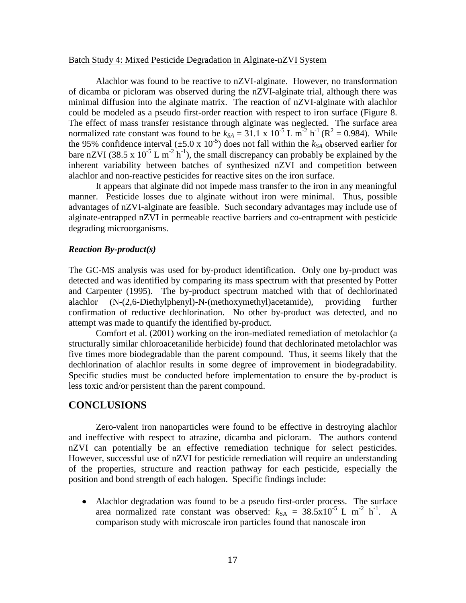## Batch Study 4: Mixed Pesticide Degradation in Alginate-nZVI System

Alachlor was found to be reactive to nZVI-alginate. However, no transformation of dicamba or picloram was observed during the nZVI-alginate trial, although there was minimal diffusion into the alginate matrix. The reaction of nZVI-alginate with alachlor could be modeled as a pseudo first-order reaction with respect to iron surface (Figure 8. The effect of mass transfer resistance through alginate was neglected. The surface area normalized rate constant was found to be  $k_{SA} = 31.1 \times 10^{-5}$  L m<sup>-2</sup> h<sup>-1</sup> ( $\mathbb{R}^2 = 0.984$ ). While the 95% confidence interval  $(\pm 5.0 \times 10^{-5})$  does not fall within the  $k_{SA}$  observed earlier for bare nZVI (38.5 x  $10^{-5}$  L m<sup>-2</sup> h<sup>-1</sup>), the small discrepancy can probably be explained by the inherent variability between batches of synthesized nZVI and competition between alachlor and non-reactive pesticides for reactive sites on the iron surface.

 It appears that alginate did not impede mass transfer to the iron in any meaningful manner. Pesticide losses due to alginate without iron were minimal. Thus, possible advantages of nZVI-alginate are feasible. Such secondary advantages may include use of alginate-entrapped nZVI in permeable reactive barriers and co-entrapment with pesticide degrading microorganisms.

#### *Reaction By-product(s)*

The GC-MS analysis was used for by-product identification. Only one by-product was detected and was identified by comparing its mass spectrum with that presented by Potter and Carpenter (1995). The by-product spectrum matched with that of dechlorinated alachlor (N-(2,6-Diethylphenyl)-N-(methoxymethyl)acetamide), providing further confirmation of reductive dechlorination. No other by-product was detected, and no attempt was made to quantify the identified by-product.

Comfort et al. (2001) working on the iron-mediated remediation of metolachlor (a structurally similar chloroacetanilide herbicide) found that dechlorinated metolachlor was five times more biodegradable than the parent compound. Thus, it seems likely that the dechlorination of alachlor results in some degree of improvement in biodegradability. Specific studies must be conducted before implementation to ensure the by-product is less toxic and/or persistent than the parent compound.

# **CONCLUSIONS**

Zero-valent iron nanoparticles were found to be effective in destroying alachlor and ineffective with respect to atrazine, dicamba and picloram. The authors contend nZVI can potentially be an effective remediation technique for select pesticides. However, successful use of nZVI for pesticide remediation will require an understanding of the properties, structure and reaction pathway for each pesticide, especially the position and bond strength of each halogen. Specific findings include:

Alachlor degradation was found to be a pseudo first-order process. The surface area normalized rate constant was observed:  $k_{SA} = 38.5 \times 10^{-5}$  L m<sup>-2</sup> h<sup>-1</sup>. A comparison study with microscale iron particles found that nanoscale iron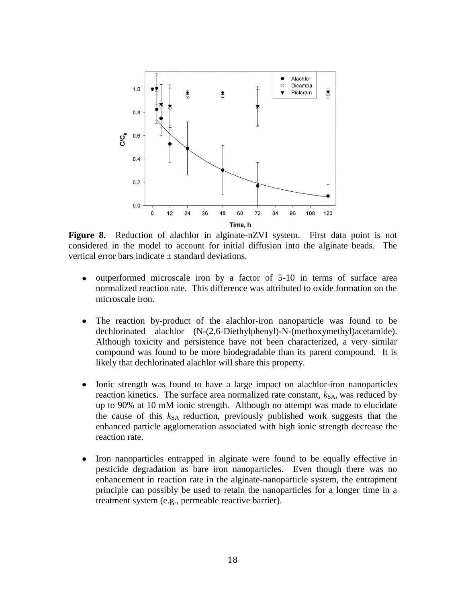

**Figure 8.** Reduction of alachlor in alginate-nZVI system. First data point is not considered in the model to account for initial diffusion into the alginate beads. The vertical error bars indicate  $\pm$  standard deviations.

- outperformed microscale iron by a factor of 5-10 in terms of surface area  $\bullet$ normalized reaction rate. This difference was attributed to oxide formation on the microscale iron.
- The reaction by-product of the alachlor-iron nanoparticle was found to be  $\bullet$ dechlorinated alachlor (N-(2,6-Diethylphenyl)-N-(methoxymethyl)acetamide). Although toxicity and persistence have not been characterized, a very similar compound was found to be more biodegradable than its parent compound. It is likely that dechlorinated alachlor will share this property.
- $\bullet$ Ionic strength was found to have a large impact on alachlor-iron nanoparticles reaction kinetics. The surface area normalized rate constant,  $k_{SA}$ , was reduced by up to 90% at 10 mM ionic strength. Although no attempt was made to elucidate the cause of this  $k_{SA}$  reduction, previously published work suggests that the enhanced particle agglomeration associated with high ionic strength decrease the reaction rate.
- $\bullet$ Iron nanoparticles entrapped in alginate were found to be equally effective in pesticide degradation as bare iron nanoparticles. Even though there was no enhancement in reaction rate in the alginate-nanoparticle system, the entrapment principle can possibly be used to retain the nanoparticles for a longer time in a treatment system (e.g., permeable reactive barrier).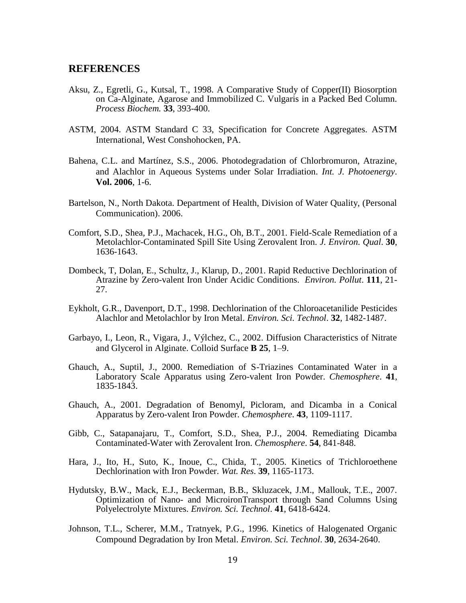# **REFERENCES**

- Aksu, Z., Egretli, G., Kutsal, T., 1998. A Comparative Study of Copper(II) Biosorption on Ca-Alginate, Agarose and Immobilized C. Vulgaris in a Packed Bed Column. *Process Biochem.* **33**, 393-400.
- ASTM, 2004. ASTM Standard C 33, Specification for Concrete Aggregates. ASTM International, West Conshohocken, PA.
- Bahena, C.L. and Martínez, S.S., 2006. Photodegradation of Chlorbromuron, Atrazine, and Alachlor in Aqueous Systems under Solar Irradiation. *Int. J. Photoenergy*. **Vol. 2006**, 1-6.
- Bartelson, N., North Dakota. Department of Health, Division of Water Quality, (Personal Communication). 2006.
- Comfort, S.D., Shea, P.J., Machacek, H.G., Oh, B.T., 2001. Field-Scale Remediation of a Metolachlor-Contaminated Spill Site Using Zerovalent Iron. *J. Environ. Qual*. **30**, 1636-1643.
- Dombeck, T, Dolan, E., Schultz, J., Klarup, D., 2001. Rapid Reductive Dechlorination of Atrazine by Zero-valent Iron Under Acidic Conditions. *Environ. Pollut*. **111**, 21- 27.
- Eykholt, G.R., Davenport, D.T., 1998. Dechlorination of the Chloroacetanilide Pesticides Alachlor and Metolachlor by Iron Metal. *Environ. Sci. Technol*. **32**, 1482-1487.
- Garbayo, I., Leon, R., Vigara, J., Výlchez, C., 2002. Diffusion Characteristics of Nitrate and Glycerol in Alginate. Colloid Surface **B 25**, 1–9.
- Ghauch, A., Suptil, J., 2000. Remediation of S-Triazines Contaminated Water in a Laboratory Scale Apparatus using Zero-valent Iron Powder. *Chemosphere*. **41**, 1835-1843.
- Ghauch, A., 2001. Degradation of Benomyl, Picloram, and Dicamba in a Conical Apparatus by Zero-valent Iron Powder. *Chemosphere*. **43**, 1109-1117.
- Gibb, C., Satapanajaru, T., Comfort, S.D., Shea, P.J., 2004. Remediating Dicamba Contaminated-Water with Zerovalent Iron. *Chemosphere*. **54**, 841-848.
- Hara, J., Ito, H., Suto, K., Inoue, C., Chida, T., 2005. Kinetics of Trichloroethene Dechlorination with Iron Powder. *Wat. Res*. **39**, 1165-1173.
- Hydutsky, B.W., Mack, E.J., Beckerman, B.B., Skluzacek, J.M., Mallouk, T.E., 2007. Optimization of Nano- and MicroironTransport through Sand Columns Using Polyelectrolyte Mixtures. *Environ. Sci. Technol*. **41**, 6418-6424.
- Johnson, T.L., Scherer, M.M., Tratnyek, P.G., 1996. Kinetics of Halogenated Organic Compound Degradation by Iron Metal. *Environ. Sci. Technol*. **30**, 2634-2640.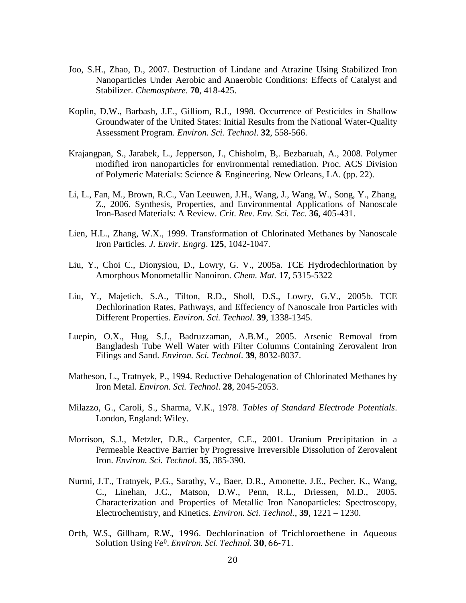- Joo, S.H., Zhao, D., 2007. Destruction of Lindane and Atrazine Using Stabilized Iron Nanoparticles Under Aerobic and Anaerobic Conditions: Effects of Catalyst and Stabilizer. *Chemosphere*. **70**, 418-425.
- Koplin, D.W., Barbash, J.E., Gilliom, R.J., 1998. Occurrence of Pesticides in Shallow Groundwater of the United States: Initial Results from the National Water-Quality Assessment Program. *Environ. Sci. Technol*. **32**, 558-566.
- Krajangpan, S., Jarabek, L., Jepperson, J., Chisholm, B,. Bezbaruah, A., 2008. Polymer modified iron nanoparticles for environmental remediation. Proc. ACS Division of Polymeric Materials: Science & Engineering. New Orleans, LA. (pp. 22).
- Li, L., Fan, M., Brown, R.C., Van Leeuwen, J.H., Wang, J., Wang, W., Song, Y., Zhang, Z., 2006. Synthesis, Properties, and Environmental Applications of Nanoscale Iron-Based Materials: A Review. *Crit. Rev. Env. Sci. Tec.* **36**, 405-431.
- Lien, H.L., Zhang, W.X., 1999. Transformation of Chlorinated Methanes by Nanoscale Iron Particles. *J. Envir. Engrg*. **125**, 1042-1047.
- Liu, Y., Choi C., Dionysiou, D., Lowry, G. V., 2005a. TCE Hydrodechlorination by Amorphous Monometallic Nanoiron. *Chem. Mat.* **17**, 5315-5322
- Liu, Y., Majetich, S.A., Tilton, R.D., Sholl, D.S., Lowry, G.V., 2005b. TCE Dechlorination Rates, Pathways, and Effeciency of Nanoscale Iron Particles with Different Properties. *Environ. Sci. Technol.* **39**, 1338-1345.
- Luepin, O.X., Hug, S.J., Badruzzaman, A.B.M., 2005. Arsenic Removal from Bangladesh Tube Well Water with Filter Columns Containing Zerovalent Iron Filings and Sand. *Environ. Sci. Technol*. **39**, 8032-8037.
- Matheson, L., Tratnyek, P., 1994. Reductive Dehalogenation of Chlorinated Methanes by Iron Metal. *Environ. Sci. Technol*. **28**, 2045-2053.
- Milazzo, G., Caroli, S., Sharma, V.K., 1978. *Tables of Standard Electrode Potentials*. London, England: Wiley.
- Morrison, S.J., Metzler, D.R., Carpenter, C.E., 2001. Uranium Precipitation in a Permeable Reactive Barrier by Progressive Irreversible Dissolution of Zerovalent Iron. *Environ. Sci. Technol*. **35**, 385-390.
- Nurmi, J.T., Tratnyek, P.G., Sarathy, V., Baer, D.R., Amonette, J.E., Pecher, K., Wang, C., Linehan, J.C., Matson, D.W., Penn, R.L., Driessen, M.D., 2005. Characterization and Properties of Metallic Iron Nanoparticles: Spectroscopy, Electrochemistry, and Kinetics. *Environ. Sci. Technol.*, **39**, 1221 – 1230.
- Orth, W.S., Gillham, R.W., 1996. Dechlorination of Trichloroethene in Aqueous Solution Using Fe0. *Environ. Sci. Technol*. **30**, 66-71.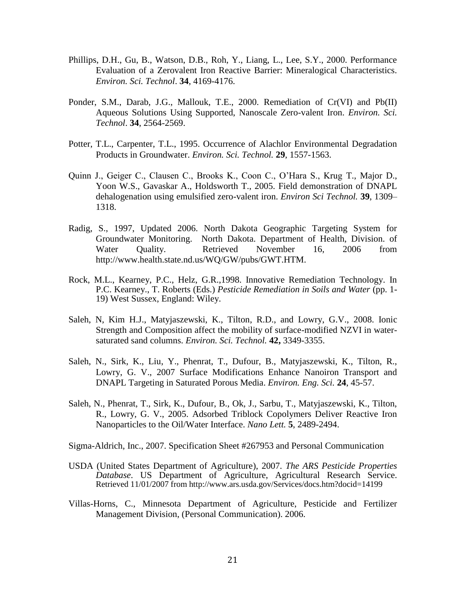- Phillips, D.H., Gu, B., Watson, D.B., Roh, Y., Liang, L., Lee, S.Y., 2000. Performance Evaluation of a Zerovalent Iron Reactive Barrier: Mineralogical Characteristics. *Environ. Sci. Technol*. **34**, 4169-4176.
- Ponder, S.M., Darab, J.G., Mallouk, T.E., 2000. Remediation of Cr(VI) and Pb(II) Aqueous Solutions Using Supported, Nanoscale Zero-valent Iron. *Environ. Sci. Technol*. **34**, 2564-2569.
- Potter, T.L., Carpenter, T.L., 1995. Occurrence of Alachlor Environmental Degradation Products in Groundwater. *Environ. Sci. Technol.* **29**, 1557-1563.
- Quinn J., Geiger C., Clausen C., Brooks K., Coon C., O'Hara S., Krug T., Major D., Yoon W.S., Gavaskar A., Holdsworth T., 2005. Field demonstration of DNAPL dehalogenation using emulsified zero-valent iron. *Environ Sci Technol.* **39**, 1309– 1318.
- Radig, S., 1997, Updated 2006. North Dakota Geographic Targeting System for Groundwater Monitoring. North Dakota. Department of Health, Division. of Water Quality. Retrieved November 16, 2006 from http://www.health.state.nd.us/WQ/GW/pubs/GWT.HTM.
- Rock, M.L., Kearney, P.C., Helz, G.R.,1998. Innovative Remediation Technology. In P.C. Kearney., T. Roberts (Eds.) *Pesticide Remediation in Soils and Water* (pp. 1- 19) West Sussex, England: Wiley.
- Saleh, N, Kim H.J., Matyjaszewski, K., Tilton, R.D., and Lowry, G.V., 2008. Ionic Strength and Composition affect the mobility of surface-modified NZVI in watersaturated sand columns. *Environ. Sci. Technol.* **42,** 3349-3355.
- Saleh, N., Sirk, K., Liu, Y., Phenrat, T., Dufour, B., Matyjaszewski, K., Tilton, R., Lowry, G. V., 2007 Surface Modifications Enhance Nanoiron Transport and DNAPL Targeting in Saturated Porous Media. *Environ. Eng. Sci.* **24**, 45-57.
- Saleh, N., Phenrat, T., Sirk, K., Dufour, B., Ok, J., Sarbu, T., Matyjaszewski, K., Tilton, R., Lowry, G. V., 2005. Adsorbed Triblock Copolymers Deliver Reactive Iron Nanoparticles to the Oil/Water Interface. *Nano Lett.* **5**, 2489-2494.
- Sigma-Aldrich, Inc., 2007. Specification Sheet #267953 and Personal Communication
- USDA (United States Department of Agriculture), 2007. *The ARS Pesticide Properties Database*. US Department of Agriculture, Agricultural Research Service. Retrieved 11/01/2007 from http://www.ars.usda.gov/Services/docs.htm?docid=14199
- Villas-Horns, C., Minnesota Department of Agriculture, Pesticide and Fertilizer Management Division, (Personal Communication). 2006.